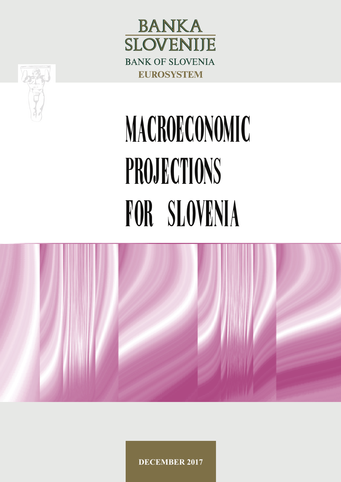



# MACROECONOMIC PROJECTIONS FOR SLOVENIA



**DECEMBER 2017**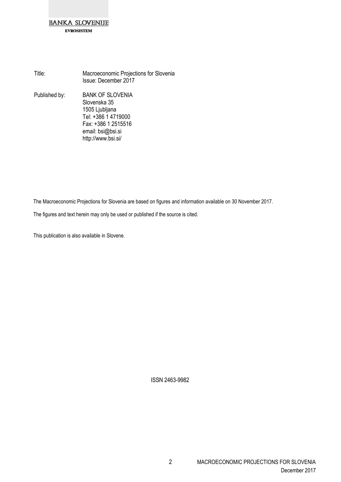**EVROSISTEM** 

Title: Macroeconomic Projections for Slovenia Issue: December 2017 Published by: BANK OF SLOVENIA Slovenska 35 1505 Ljubljana Tel: +386 1 4719000 Fax: +386 1 2515516 email: bsi@bsi.si http://www.bsi.si/

The Macroeconomic Projections for Slovenia are based on figures and information available on 30 November 2017.

The figures and text herein may only be used or published if the source is cited.

This publication is also available in Slovene.

ISSN 2463-9982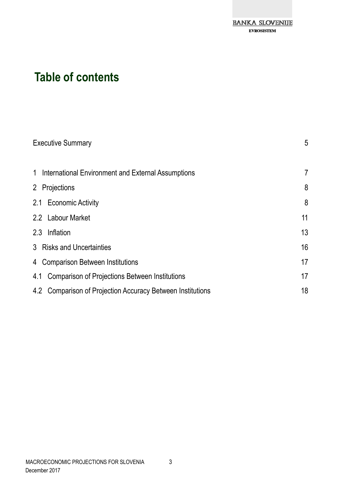

## **Table of contents**

| <b>Executive Summary</b>                                   |                |  |  |  |  |  |  |  |  |
|------------------------------------------------------------|----------------|--|--|--|--|--|--|--|--|
| 1 International Environment and External Assumptions       | $\overline{7}$ |  |  |  |  |  |  |  |  |
| 2 Projections                                              | 8              |  |  |  |  |  |  |  |  |
| 2.1 Economic Activity                                      | 8              |  |  |  |  |  |  |  |  |
| 2.2 Labour Market                                          | 11             |  |  |  |  |  |  |  |  |
| 2.3 Inflation                                              | 13             |  |  |  |  |  |  |  |  |
| 3 Risks and Uncertainties                                  | 16             |  |  |  |  |  |  |  |  |
| 4 Comparison Between Institutions                          | 17             |  |  |  |  |  |  |  |  |
| Comparison of Projections Between Institutions<br>4.1      | 17             |  |  |  |  |  |  |  |  |
| 4.2 Comparison of Projection Accuracy Between Institutions | 18             |  |  |  |  |  |  |  |  |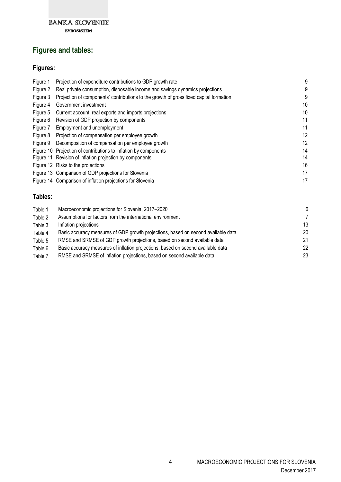

**EVROSISTEM** 

## **Figures and tables:**

## **Figures:**

| Figure 1 | Projection of expenditure contributions to GDP growth rate                             | ĉ  |
|----------|----------------------------------------------------------------------------------------|----|
| Figure 2 | Real private consumption, disposable income and savings dynamics projections           | ĉ  |
| Figure 3 | Projection of components' contributions to the growth of gross fixed capital formation |    |
| Figure 4 | Government investment                                                                  | 10 |
| Figure 5 | Current account, real exports and imports projections                                  | 10 |
| Figure 6 | Revision of GDP projection by components                                               | 11 |
| Figure 7 | Employment and unemployment                                                            | 11 |
| Figure 8 | Projection of compensation per employee growth                                         | 12 |
| Figure 9 | Decomposition of compensation per employee growth                                      | 12 |
|          | Figure 10 Projection of contributions to inflation by components                       | 14 |
|          | Figure 11 Revision of inflation projection by components                               | 14 |
|          | Figure 12 Risks to the projections                                                     | 16 |
|          | Figure 13 Comparison of GDP projections for Slovenia                                   | 17 |
|          | Figure 14 Comparison of inflation projections for Slovenia                             | 17 |
|          |                                                                                        |    |

#### **Tables:**

| Table 1 | Macroeconomic projections for Slovenia, 2017-2020                                 | 6  |
|---------|-----------------------------------------------------------------------------------|----|
| Table 2 | Assumptions for factors from the international environment                        | -7 |
| Table 3 | Inflation projections                                                             | 13 |
| Table 4 | Basic accuracy measures of GDP growth projections, based on second available data | 20 |
| Table 5 | RMSE and SRMSE of GDP growth projections, based on second available data          | 21 |
| Table 6 | Basic accuracy measures of inflation projections, based on second available data  | 22 |
| Table 7 | RMSE and SRMSE of inflation projections, based on second available data           | 23 |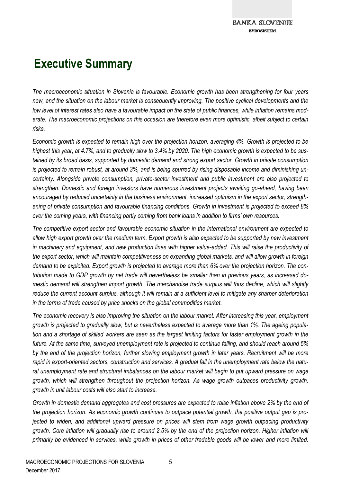## **Executive Summary**

*The macroeconomic situation in Slovenia is favourable. Economic growth has been strengthening for four years*  now, and the situation on the labour market is consequently improving. The positive cyclical developments and the *low level of interest rates also have a favourable impact on the state of public finances, while inflation remains moderate. The macroeconomic projections on this occasion are therefore even more optimistic, albeit subject to certain risks.* 

*Economic growth is expected to remain high over the projection horizon, averaging 4%. Growth is projected to be highest this year, at 4.7%, and to gradually slow to 3.4% by 2020. The high economic growth is expected to be sustained by its broad basis, supported by domestic demand and strong export sector. Growth in private consumption is projected to remain robust, at around 3%, and is being spurred by rising disposable income and diminishing uncertainty. Alongside private consumption, private-sector investment and public investment are also projected to strengthen. Domestic and foreign investors have numerous investment projects awaiting go-ahead, having been encouraged by reduced uncertainty in the business environment, increased optimism in the export sector, strengthening of private consumption and favourable financing conditions. Growth in investment is projected to exceed 8% over the coming years, with financing partly coming from bank loans in addition to firms' own resources.* 

*The competitive export sector and favourable economic situation in the international environment are expected to allow high export growth over the medium term. Export growth is also expected to be supported by new investment in machinery and equipment, and new production lines with higher value-added. This will raise the productivity of the export sector, which will maintain competitiveness on expanding global markets, and will allow growth in foreign demand to be exploited. Export growth is projected to average more than 6% over the projection horizon. The contribution made to GDP growth by net trade will nevertheless be smaller than in previous years, as increased domestic demand will strengthen import growth. The merchandise trade surplus will thus decline, which will slightly reduce the current account surplus, although it will remain at a sufficient level to mitigate any sharper deterioration in the terms of trade caused by price shocks on the global commodities market.* 

*The economic recovery is also improving the situation on the labour market. After increasing this year, employment growth is projected to gradually slow, but is nevertheless expected to average more than 1%. The ageing population and a shortage of skilled workers are seen as the largest limiting factors for faster employment growth in the future. At the same time, surveyed unemployment rate is projected to continue falling, and should reach around 5% by the end of the projection horizon, further slowing employment growth in later years. Recruitment will be more rapid in export-oriented sectors, construction and services. A gradual fall in the unemployment rate below the natural unemployment rate and structural imbalances on the labour market will begin to put upward pressure on wage growth, which will strengthen throughout the projection horizon. As wage growth outpaces productivity growth, growth in unit labour costs will also start to increase.*

*Growth in domestic demand aggregates and cost pressures are expected to raise inflation above 2% by the end of the projection horizon. As economic growth continues to outpace potential growth, the positive output gap is projected to widen, and additional upward pressure on prices will stem from wage growth outpacing productivity growth. Core inflation will gradually rise to around 2.5% by the end of the projection horizon. Higher inflation will primarily be evidenced in services, while growth in prices of other tradable goods will be lower and more limited.*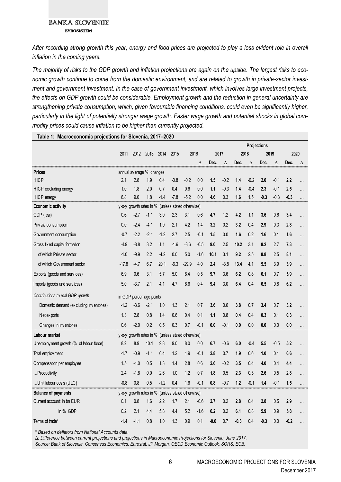#### **BANKA SLOVENIJE EVROSISTEM**

*After recording strong growth this year, energy and food prices are projected to play a less evident role in overall inflation in the coming years.*

*The majority of risks to the GDP growth and inflation projections are again on the upside. The largest risks to economic growth continue to come from the domestic environment, and are related to growth in private-sector investment and government investment. In the case of government investment, which involves large investment projects, the effects on GDP growth could be considerable. Employment growth and the reduction in general uncertainty are strengthening private consumption, which, given favourable financing conditions, could even be significantly higher, particularly in the light of potentially stronger wage growth. Faster wage growth and potential shocks in global commodity prices could cause inflation to be higher than currently projected.*

|                                          |         |                          |                   |        |        |                                                   |          | Projections |          |        |        |        |        |        |           |
|------------------------------------------|---------|--------------------------|-------------------|--------|--------|---------------------------------------------------|----------|-------------|----------|--------|--------|--------|--------|--------|-----------|
|                                          | 2011    | 2012                     | 2013              | 2014   | 2015   |                                                   | 2016     |             | 2017     |        | 2018   | 2019   |        | 2020   |           |
|                                          |         |                          |                   |        |        |                                                   | $\Delta$ | Dec.        | $\Delta$ | Dec.   | Δ      | Dec.   | Δ      | Dec.   | Δ         |
| <b>Prices</b>                            |         | annual average % changes |                   |        |        |                                                   |          |             |          |        |        |        |        |        |           |
| <b>HICP</b>                              | 2.1     | 2.8                      | 1.9               | 0.4    | $-0.8$ | $-0.2$                                            | 0.0      | 1.5         | $-0.2$   | 1.4    | $-0.2$ | 2.0    | $-0.1$ | 2.2    | $\cdots$  |
| HICP excluding energy                    | 1.0     | 1.8                      | 2.0               | 0.7    | 0.4    | 0.6                                               | 0.0      | 1.1         | $-0.3$   | 1.4    | $-0.4$ | 2.3    | $-0.1$ | 2.5    | .         |
| HICP energy                              | 8.8     | 9.0                      | 1.8               | $-1.4$ | $-7.8$ | $-5.2$                                            | 0.0      | 4.6         | 0.3      | 1.6    | 1.5    | $-0.3$ | $-0.3$ | $-0.3$ |           |
| Economic activity                        |         |                          |                   |        |        | y-o-y growth rates in % (unless stated otherwise) |          |             |          |        |        |        |        |        |           |
| GDP (real)                               | 0.6     | $-2.7$                   | $-1.1$            | 3.0    | 2.3    | 3.1                                               | 0.6      | 4.7         | 1.2      | 4.2    | 1.1    | 3.6    | 0.6    | 3.4    |           |
| Private consumption                      | 0.0     | $-2.4$                   | $-4.1$            | 1.9    | 2.1    | 4.2                                               | 1.4      | 3.2         | 0.2      | 3.2    | 0.4    | 2.9    | 0.3    | 2.8    | $\cdots$  |
| Government consumption                   | $-0.7$  | $-2.2$                   | $-2.1$            | $-1.2$ | 2.7    | 2.5                                               | $-0.1$   | 1.5         | 0.0      | 1.6    | 0.2    | 1.6    | 0.1    | 1.6    | .         |
| Gross fixed capital formation            | $-4.9$  | $-8.8$                   | 3.2               | 1.1    | $-1.6$ | $-3.6$                                            | $-0.5$   | 9.0         | 2.5      | 10.2   | 3.1    | 8.2    | 2.7    | 7.3    |           |
| of which Private sector                  | $-1.0$  | $-9.9$                   | 2.2               | $-4.2$ | 0.0    | 5.0                                               | $-1.6$   | 10.1        | 3.1      | 9.2    | 2.5    | 8.8    | 2.5    | 8.1    | .         |
| of which Government sector               | $-17.8$ | $-4.7$                   | 6.7               | 20.1   | $-6.3$ | $-29.9$                                           | 4.0      | 2.4         | $-3.8$   | 13.4   | 4.1    | 5.5    | 3.9    | 3.9    | $\cdots$  |
| Exports (goods and services)             | 6.9     | 0.6                      | 3.1               | 5.7    | 5.0    | 6.4                                               | 0.5      | 9.7         | 3.6      | 6.2    | 0.8    | 6.1    | 0.7    | 5.9    | .         |
| Imports (goods and services)             | 5.0     | $-3.7$                   | 2.1               | 4.1    | 4.7    | 6.6                                               | 0.4      | 9.4         | 3.0      | 6.4    | 0.4    | 6.5    | 0.8    | 6.2    |           |
| Contributions to real GDP growth         | in GDP  |                          | percentage points |        |        |                                                   |          |             |          |        |        |        |        |        |           |
| Domestic demand (ex cluding inventories) | $-1.2$  | $-3.6$                   | $-2.1$            | 1.0    | 1.3    | 2.1                                               | 0.7      | 3.6         | 0.6      | 3.8    | 0.7    | 3.4    | 0.7    | 3.2    | $\ddotsc$ |
| Net exports                              | 1.3     | 2.8                      | 0.8               | 1.4    | 0.6    | 0.4                                               | 0.1      | 1.1         | 0.8      | 0.4    | 0.4    | 0.3    | 0.1    | 0.3    |           |
| Changes in inventories                   | 0.6     | $-2.0$                   | 0.2               | 0.5    | 0.3    | 0.7                                               | $-0.1$   | 0.0         | $-0.1$   | 0.0    | 0.0    | 0.0    | 0.0    | 0.0    |           |
| Labour market                            |         |                          |                   |        |        | y-o-y growth rates in % (unless stated otherwise) |          |             |          |        |        |        |        |        |           |
| Unemployment growth (% of labour force)  | 8.2     | 8.9                      | 10.1              | 9.8    | 9.0    | 8.0                                               | 0.0      | 6.7         | $-0.6$   | 6.0    | $-0.4$ | 5.5    | $-0.5$ | 5.2    | .         |
| Total employ ment                        | $-1.7$  | $-0.9$                   | $-1.1$            | 0.4    | 1.2    | 1.9                                               | $-0.1$   | 2.8         | 0.7      | 1.9    | 0.6    | 1.0    | 0.1    | 0.6    | .         |
| Compensation per employee                | 1.5     | $-1.0$                   | 0.5               | 1.3    | 1.4    | 2.8                                               | 0.6      | 2.6         | $-0.2$   | 3.5    | 0.4    | 4.0    | 0.4    | 4.4    |           |
| Productivity                             | 2.4     | $-1.8$                   | 0.0               | 2.6    | 1.0    | 1.2                                               | 0.7      | 1.8         | 0.5      | 2.3    | 0.5    | 2.6    | 0.5    | 2.8    | $\cdots$  |
| Unit labour costs (ULC)                  | $-0.8$  | 0.8                      | 0.5               | $-1.2$ | 0.4    | 1.6                                               | $-0.1$   | 0.8         | $-0.7$   | 1.2    | $-0.1$ | 1.4    | $-0.1$ | 1.5    |           |
| <b>Balance of payments</b>               |         |                          |                   |        |        | y-o-y growth rates in % (unless stated otherwise) |          |             |          |        |        |        |        |        |           |
| Current account: in bn EUR               | 0.1     | 0.8                      | 1.6               | 2.2    | 1.7    | 2.1                                               | $-0.6$   | 2.7         | 0.2      | 2.8    | 0.4    | 2.8    | 0.5    | 2.9    | .         |
| in % GDP                                 | 0.2     | 2.1                      | 4.4               | 5.8    | 4.4    | 5.2                                               | $-1.6$   | 6.2         | 0.2      | 6.1    | 0.8    | 5.9    | 0.9    | 5.8    | .         |
| Terms of trade*                          | $-1.4$  | $-1.1$                   | 0.8               | 1.0    | 1.3    | 0.9                                               | 0.1      | -0.6        | 0.7      | $-0.3$ | 0.4    | $-0.3$ | 0.0    | $-0.2$ |           |

#### **Table 1: Macroeconomic projections for Slovenia, 2017–2020**

\* *Based on deflators from National Accounts data.*

Δ*: Difference between current projections and projections in Macroeconomic Projections for Slovenia, June 2017.*

*Source: Bank of Slovenia, Consensus Economics, Eurostat, JP Morgan, OECD Economic Outlook, SORS, ECB.*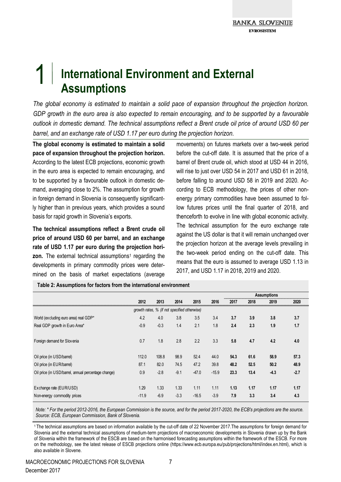## 1 **International Environment and External Assumptions**

*The global economy is estimated to maintain a solid pace of expansion throughout the projection horizon. GDP growth in the euro area is also expected to remain encouraging, and to be supported by a favourable outlook in domestic demand. The technical assumptions reflect a Brent crude oil price of around USD 60 per barrel, and an exchange rate of USD 1.17 per euro during the projection horizon.*

**The global economy is estimated to maintain a solid pace of expansion throughout the projection horizon.** According to the latest ECB projections, economic growth in the euro area is expected to remain encouraging, and to be supported by a favourable outlook in domestic demand, averaging close to 2%. The assumption for growth in foreign demand in Slovenia is consequently significantly higher than in previous years, which provides a sound basis for rapid growth in Slovenia's exports.

**The technical assumptions reflect a Brent crude oil price of around USD 60 per barrel, and an exchange rate of USD 1.17 per euro during the projection horizon.** The external technical assumptions<sup>1</sup> regarding the developments in primary commodity prices were determined on the basis of market expectations (average

movements) on futures markets over a two-week period before the cut-off date. It is assumed that the price of a barrel of Brent crude oil, which stood at USD 44 in 2016, will rise to just over USD 54 in 2017 and USD 61 in 2018, before falling to around USD 58 in 2019 and 2020. According to ECB methodology, the prices of other nonenergy primary commodities have been assumed to follow futures prices until the final quarter of 2018, and thenceforth to evolve in line with global economic activity. The technical assumption for the euro exchange rate against the US dollar is that it will remain unchanged over the projection horizon at the average levels prevailing in the two-week period ending on the cut-off date. This means that the euro is assumed to average USD 1.13 in 2017, and USD 1.17 in 2018, 2019 and 2020.

|                                                                                               |         |        |        |         |         | <b>Assumptions</b> |      |        |        |  |  |
|-----------------------------------------------------------------------------------------------|---------|--------|--------|---------|---------|--------------------|------|--------|--------|--|--|
|                                                                                               | 2012    | 2013   | 2014   | 2015    | 2016    | 2017               | 2018 | 2019   | 2020   |  |  |
| growth rates, % (if not specified otherwise)                                                  |         |        |        |         |         |                    |      |        |        |  |  |
| 4.2<br>3.8<br>3.5<br>3.4<br>3.7<br>3.8<br>4.0<br>3.9<br>World (excluding euro area) real GDP* |         |        |        |         |         |                    |      |        |        |  |  |
| Real GDP growth in Euro Area*                                                                 | $-0.9$  | $-0.3$ | 1.4    | 2.1     | 1.8     | 2.4                | 2.3  | 1.9    | 1.7    |  |  |
| Foreign demand for Slovenia                                                                   | 0.7     | 1.8    | 2.8    | 2.2     | 3.3     | 5.8                | 4.7  | 4.2    | 4.0    |  |  |
| Oil price (in USD/barrel)                                                                     | 112.0   | 108.8  | 98.9   | 52.4    | 44.0    | 54.3               | 61.6 | 58.9   | 57.3   |  |  |
| Oil price (in EUR/barrel)                                                                     | 87.1    | 82.0   | 74.5   | 47.2    | 39.8    | 48.2               | 52.5 | 50.2   | 48.9   |  |  |
| Oil price (in USD/barrel, annual percentage change)                                           | 0.9     | $-2.8$ | $-9.1$ | $-47.0$ | $-15.9$ | 23.3               | 13.4 | $-4.3$ | $-2.7$ |  |  |
| Exchange rate (EUR/USD)                                                                       | 1.29    | 1.33   | 1.33   | 1.11    | 1.11    | 1.13               | 1.17 | 1.17   | 1.17   |  |  |
| Non-energy commodity prices                                                                   | $-11.9$ | $-6.9$ | $-3.3$ | $-16.5$ | $-3.9$  | 7.9                | 3.3  | 3.4    | 4.3    |  |  |

**Table 2: Assumptions for factors from the international environment**

*Note: \* For the period 2012-2016, the European Commission is the source, and for the period 2017-2020, the ECB's projections are the source. Source: ECB, European Commission, Bank of Slovenia.*

<sup>1</sup>The technical assumptions are based on information available by the cut-off date of 22 November 2017.The assumptions for foreign demand for Slovenia and the external technical assumptions of medium-term projections of macroeconomic developments in Slovenia drawn up by the Bank of Slovenia within the framework of the ESCB are based on the harmonised forecasting assumptions within the framework of the ESCB. For more on the methodology, see the latest release of ESCB projections online (https://www.ecb.europa.eu/pub/projections/html/index.en.html), which is also available in Slovene.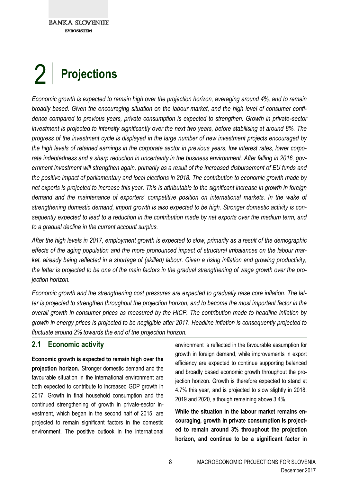## $2<sub>1</sub>$ **Projections**

*Economic growth is expected to remain high over the projection horizon, averaging around 4%, and to remain broadly based. Given the encouraging situation on the labour market, and the high level of consumer confidence compared to previous years, private consumption is expected to strengthen. Growth in private-sector investment is projected to intensify significantly over the next two years, before stabilising at around 8%. The progress of the investment cycle is displayed in the large number of new investment projects encouraged by the high levels of retained earnings in the corporate sector in previous years, low interest rates, lower corporate indebtedness and a sharp reduction in uncertainty in the business environment. After falling in 2016, government investment will strengthen again, primarily as a result of the increased disbursement of EU funds and the positive impact of parliamentary and local elections in 2018. The contribution to economic growth made by net exports is projected to increase this year. This is attributable to the significant increase in growth in foreign demand and the maintenance of exporters' competitive position on international markets. In the wake of strengthening domestic demand, import growth is also expected to be high. Stronger domestic activity is consequently expected to lead to a reduction in the contribution made by net exports over the medium term, and to a gradual decline in the current account surplus.*

*After the high levels in 2017, employment growth is expected to slow, primarily as a result of the demographic effects of the aging population and the more pronounced impact of structural imbalances on the labour market, already being reflected in a shortage of (skilled) labour. Given a rising inflation and growing productivity, the latter is projected to be one of the main factors in the gradual strengthening of wage growth over the projection horizon.*

*Economic growth and the strengthening cost pressures are expected to gradually raise core inflation. The latter is projected to strengthen throughout the projection horizon, and to become the most important factor in the overall growth in consumer prices as measured by the HICP. The contribution made to headline inflation by growth in energy prices is projected to be negligible after 2017. Headline inflation is consequently projected to fluctuate around 2% towards the end of the projection horizon.*

#### **2.1 Economic activity**

**Economic growth is expected to remain high over the projection horizon.** Stronger domestic demand and the favourable situation in the international environment are both expected to contribute to increased GDP growth in 2017. Growth in final household consumption and the continued strengthening of growth in private-sector investment, which began in the second half of 2015, are projected to remain significant factors in the domestic environment. The positive outlook in the international

environment is reflected in the favourable assumption for growth in foreign demand, while improvements in export efficiency are expected to continue supporting balanced and broadly based economic growth throughout the projection horizon. Growth is therefore expected to stand at 4.7% this year, and is projected to slow slightly in 2018, 2019 and 2020, although remaining above 3.4%.

**While the situation in the labour market remains encouraging, growth in private consumption is projected to remain around 3% throughout the projection horizon, and continue to be a significant factor in**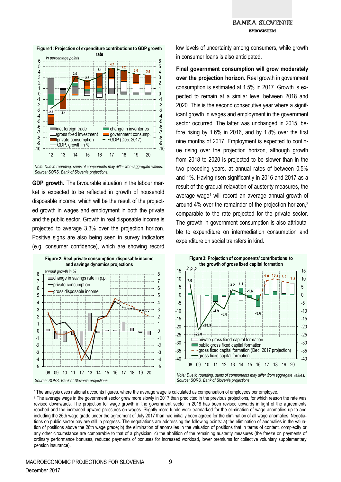#### **BANKA SLOVENIJE FVDACICTE**



**Figure 1: Projection of expenditure contributions to GDP growth** 

*Note: Due to rounding, sums of components may differ from aggregate values. Source: SORS, Bank of Slovenia projections.*

**GDP growth.** The favourable situation in the labour market is expected to be reflected in growth of household disposable income, which will be the result of the projected growth in wages and employment in both the private and the public sector. Growth in real disposable income is projected to average 3.3% over the projection horizon. Positive signs are also being seen in survey indicators (e.g. consumer confidence), which are showing record



low levels of uncertainty among consumers, while growth in consumer loans is also anticipated.

**Final government consumption will grow moderately over the projection horizon.** Real growth in government consumption is estimated at 1.5% in 2017. Growth is expected to remain at a similar level between 2018 and 2020. This is the second consecutive year where a significant growth in wages and employment in the government sector occurred. The latter was unchanged in 2015, before rising by 1.6% in 2016, and by 1.8% over the first nine months of 2017. Employment is expected to continue rising over the projection horizon, although growth from 2018 to 2020 is projected to be slower than in the two preceding years, at annual rates of between 0.5% and 1%. Having risen significantly in 2016 and 2017 as a result of the gradual relaxation of austerity measures, the average wage<sup>1</sup> will record an average annual growth of around 4% over the remainder of the projection horizon,<sup>2</sup> comparable to the rate projected for the private sector. The growth in government consumption is also attributable to expenditure on intermediation consumption and expenditure on social transfers in kind.



<sup>1</sup>The analysis uses national accounts figures, where the average wage is calculated as compensation of employees per employee.

<sup>2</sup> The average wage in the government sector grew more slowly in 2017 than predicted in the previous projections, for which reason the rate was revised downwards. The projection for wage growth in the government sector in 2018 has been revised upwards in light of the agreements reached and the increased upward pressures on wages. Slightly more funds were earmarked for the elimination of wage anomalies up to and including the 26th wage grade under the agreement of July 2017 than had initially been agreed for the elimination of all wage anomalies. Negotiations on public sector pay are still in progress. The negotiations are addressing the following points: a) the elimination of anomalies in the valuation of positions above the 26th wage grade; b) the elimination of anomalies in the valuation of positions that in terms of content, complexity or any other circumstance are comparable to that of a physician; c) the abolition of the remaining austerity measures (the freeze on payments of ordinary performance bonuses, reduced payments of bonuses for increased workload, lower premiums for collective voluntary supplementary pension insurance).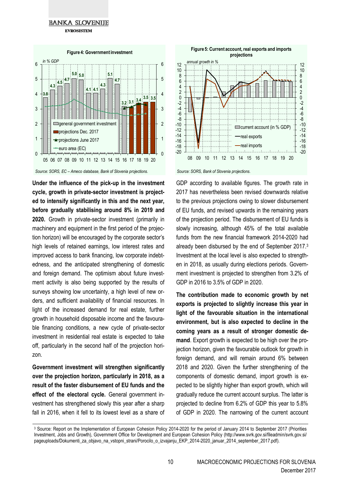**FVDOCICTEM** 



*Source: SORS, EC – Ameco database, Bank of Slovenia projections.*

**Under the influence of the pick-up in the investment cycle, growth in private-sector investment is projected to intensify significantly in this and the next year, before gradually stabilising around 8% in 2019 and 2020.** Growth in private-sector investment (primarily in machinery and equipment in the first period of the projection horizon) will be encouraged by the corporate sector's high levels of retained earnings, low interest rates and improved access to bank financing, low corporate indebtedness, and the anticipated strengthening of domestic and foreign demand. The optimism about future investment activity is also being supported by the results of surveys showing low uncertainty, a high level of new orders, and sufficient availability of financial resources. In light of the increased demand for real estate, further growth in household disposable income and the favourable financing conditions, a new cycle of private-sector investment in residential real estate is expected to take off, particularly in the second half of the projection horizon.

**Government investment will strengthen significantly over the projection horizon, particularly in 2018, as a result of the faster disbursement of EU funds and the effect of the electoral cycle.** General government investment has strengthened slowly this year after a sharp fall in 2016, when it fell to its lowest level as a share of



*Source: SORS, Bank of Slovenia projections.*

GDP according to available figures. The growth rate in 2017 has nevertheless been revised downwards relative to the previous projections owing to slower disbursement of EU funds, and revised upwards in the remaining years of the projection period. The disbursement of EU funds is slowly increasing, although 45% of the total available funds from the new financial framework 2014-2020 had already been disbursed by the end of September 2017.<sup>3</sup> Investment at the local level is also expected to strengthen in 2018, as usually during elections periods. Government investment is projected to strengthen from 3.2% of GDP in 2016 to 3.5% of GDP in 2020.

**The contribution made to economic growth by net exports is projected to slightly increase this year in light of the favourable situation in the international environment, but is also expected to decline in the coming years as a result of stronger domestic demand**. Export growth is expected to be high over the projection horizon, given the favourable outlook for growth in foreign demand, and will remain around 6% between 2018 and 2020. Given the further strengthening of the components of domestic demand, import growth is expected to be slightly higher than export growth, which will gradually reduce the current account surplus. The latter is projected to decline from 6.2% of GDP this year to 5.8% of GDP in 2020. The narrowing of the current account

<sup>&</sup>lt;sup>3</sup> Source: Report on the Implementation of European Cohesion Policy 2014-2020 for the period of January 2014 to September 2017 (Priorities Investment, Jobs and Growth), Government Office for Development and European Cohesion Policy (http://www.svrk.gov.si/fileadmin/svrk.gov.si/ pageuploads/Dokumenti\_za\_objavo\_na\_vstopni\_strani/Porocilo\_o\_izvajanju\_EKP\_2014-2020\_januar\_2014\_september\_2017.pdf).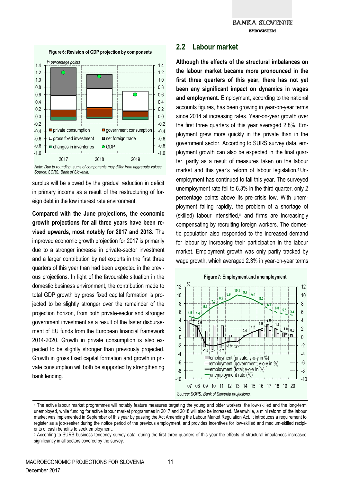

*Note: Due to rounding, sums of components may differ from aggregate values. Source: SORS, Bank of Slovenia.*

surplus will be slowed by the gradual reduction in deficit in primary income as a result of the restructuring of foreign debt in the low interest rate environment.

**Compared with the June projections, the economic growth projections for all three years have been revised upwards, most notably for 2017 and 2018.** The improved economic growth projection for 2017 is primarily due to a stronger increase in private-sector investment and a larger contribution by net exports in the first three quarters of this year than had been expected in the previous projections. In light of the favourable situation in the domestic business environment, the contribution made to total GDP growth by gross fixed capital formation is projected to be slightly stronger over the remainder of the projection horizon, from both private-sector and stronger government investment as a result of the faster disbursement of EU funds from the European financial framework 2014-2020. Growth in private consumption is also expected to be slightly stronger than previously projected. Growth in gross fixed capital formation and growth in private consumption will both be supported by strengthening bank lending.

#### **2.2 Labour market**

**Although the effects of the structural imbalances on the labour market became more pronounced in the first three quarters of this year, there has not yet been any significant impact on dynamics in wages and employment.** Employment, according to the national accounts figures, has been growing in year-on-year terms since 2014 at increasing rates. Year-on-year growth over the first three quarters of this year averaged 2.8%. Employment grew more quickly in the private than in the government sector. According to SURS survey data, employment growth can also be expected in the final quarter, partly as a result of measures taken on the labour market and this year's reform of labour legislation.4 Unemployment has continued to fall this year. The surveyed unemployment rate fell to 6.3% in the third quarter, only 2 percentage points above its pre-crisis low. With unemployment falling rapidly, the problem of a shortage of (skilled) labour intensified,<sup>5</sup> and firms are increasingly compensating by recruiting foreign workers. The domestic population also responded to the increased demand for labour by increasing their participation in the labour market. Employment growth was only partly tracked by wage growth, which averaged 2.3% in year-on-year terms



<sup>4</sup> The active labour market programmes will notably feature measures targeting the young and older workers, the low-skilled and the long-term unemployed, while funding for active labour market programmes in 2017 and 2018 will also be increased. Meanwhile, a mini reform of the labour market was implemented in September of this year by passing the Act Amending the Labour Market Regulation Act. It introduces a requirement to register as a job-seeker during the notice period of the previous employment, and provides incentives for low-skilled and medium-skilled recipients of cash benefits to seek employment.

<sup>5</sup> According to SURS business tendency survey data, during the first three quarters of this year the effects of structural imbalances increased significantly in all sectors covered by the survey.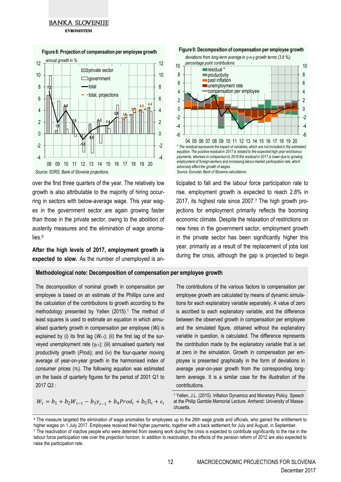#### **BANKA SLOVENIJE FVDACICTEM**



**Figure 8: Projection of compensation per employee growth**

over the first three quarters of the year. The relatively low growth is also attributable to the majority of hiring occurring in sectors with below-average wage. This year wages in the government sector are again growing faster than those in the private sector, owing to the abolition of austerity measures and the elimination of wage anomalies.<sup>6</sup>

**After the high levels of 2017, employment growth is expected to slow.** As the number of unemployed is an-

#### **Methodological note: Decomposition of compensation per employee growth**

The decomposition of nominal growth in compensation per employee is based on an estimate of the Phillips curve and the calculation of the contributions to growth according to the methodology presented by Yellen (2015).<sup>1</sup> The method of least squares is used to estimate an equation in which annualised quarterly growth in compensation per employee (*Wt*) is explained by (i) its first lag  $(W<sub>t-1</sub>)$ ; (ii) the first lag of the surveyed unemployment rate (γ<sub>t-1</sub>); (iii) annualised quarterly real productivity growth (*Prodt*); and (iv) the four-quarter moving average of year-on-year growth in the harmonised index of consumer prices  $(\pi_t)$ . The following equation was estimated on the basis of quarterly figures for the period of 2001 Q1 to 2017 Q3 :



*equation. The positive residual in 2017 is related to the expected high year-end bonus payments, whereas in comparison to 2016 the residual in 2017 is lower due to growing employment of foreign workers and increasing labour market participation rate, which adversely affect the growth of wages.*

*Source: Eurostat, Bank of Slovenia calculations.*

ticipated to fall and the labour force participation rate to rise, employment growth is expected to reach 2.8% in 2017, its highest rate since 2007.<sup>7</sup> The high growth projections for employment primarily reflects the booming economic climate. Despite the relaxation of restrictions on new hires in the government sector, employment growth in the private sector has been significantly higher this year, primarily as a result of the replacement of jobs lost during the crisis, although the gap is projected to begin

The contributions of the various factors to compensation per employee growth are calculated by means of dynamic simulations for each explanatory variable separately. A value of zero is ascribed to each explanatory variable, and the difference between the observed growth in compensation per employee and the simulated figure, obtained without the explanatory variable in question, is calculated. The difference represents the contribution made by the explanatory variable that is set at zero in the simulation. Growth in compensation per employee is presented graphically in the form of deviations in average year-on-year growth from the corresponding longterm average. It is a similar case for the illustration of the contributions.

$$
W_t = b_1 + b_2 W_{t-1} - b_3 \gamma_{t-1} + b_4 \text{Prod}_t + b_5 \Pi_t + \epsilon_t
$$

<sup>1</sup> Yellen, J.L. (2015). Inflation Dynamics and Monetary Policy. Speech at the Philip Gamble Memorial Lecture. Amherst: University of Massachusetts.

<sup>&</sup>lt;sup>6</sup> The measure targeted the elimination of wage anomalies for employees up to the 26th wage grade and officials, who gained the entitlement to higher wages on 1 July 2017. Employees received their higher payments, together with a back settlement for July and August, in September. <sup>7</sup> The reactivation of inactive people who were deterred from seeking work during the crisis is expected to contribute significantly to the rise in the labour force participation rate over the projection horizon. In addition to reactivation, the effects of the pension reform of 2012 are also expected to raise the participation rate.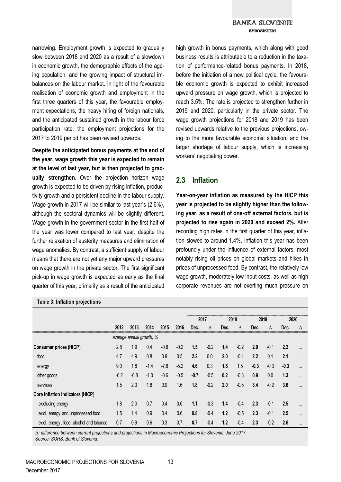#### **BANKA SLOVENIJE FVDACICTEM**

narrowing. Employment growth is expected to gradually slow between 2018 and 2020 as a result of a slowdown in economic growth, the demographic effects of the ageing population, and the growing impact of structural imbalances on the labour market. In light of the favourable realisation of economic growth and employment in the first three quarters of this year, the favourable employment expectations, the heavy hiring of foreign nationals, and the anticipated sustained growth in the labour force participation rate, the employment projections for the 2017 to 2019 period has been revised upwards.

**Despite the anticipated bonus payments at the end of the year, wage growth this year is expected to remain at the level of last year, but is then projected to gradually strengthen.** Over the projection horizon wage growth is expected to be driven by rising inflation, productivity growth and a persistent decline in the labour supply. Wage growth in 2017 will be similar to last year's (2.6%), although the sectoral dynamics will be slightly different. Wage growth in the government sector in the first half of the year was lower compared to last year, despite the further relaxation of austerity measures and elimination of wage anomalies. By contrast, a sufficient supply of labour means that there are not yet any major upward pressures on wage growth in the private sector. The first significant pick-up in wage growth is expected as early as the final quarter of this year, primarily as a result of the anticipated

#### **Table 3: Inflation projections**

high growth in bonus payments, which along with good business results is attributable to a reduction in the taxation of performance-related bonus payments. In 2018, before the initiation of a new political cycle, the favourable economic growth is expected to exhibit increased upward pressure on wage growth, which is projected to reach 3.5%. The rate is projected to strengthen further in 2019 and 2020, particularly in the private sector. The wage growth projections for 2018 and 2019 has been revised upwards relative to the previous projections, owing to the more favourable economic situation, and the larger shortage of labour supply, which is increasing workers' negotiating power.

#### **2.3 Inflation**

**Year-on-year inflation as measured by the HICP this year is projected to be slightly higher than the following year, as a result of one-off external factors, but is projected to rise again in 2020 and exceed 2%.** After recording high rates in the first quarter of this year, inflation slowed to around 1.4%. Inflation this year has been profoundly under the influence of external factors, most notably rising oil prices on global markets and hikes in prices of unprocessed food. By contrast, the relatively low wage growth, moderately low input costs, as well as high corporate revenues are not exerting much pressure on

|                                         |        |        |        |        |        | 2017   |        | 2018 |        | 2019   |        | 2020   |          |
|-----------------------------------------|--------|--------|--------|--------|--------|--------|--------|------|--------|--------|--------|--------|----------|
|                                         | 2012   | 2013   | 2014   | 2015   | 2016   | Dec.   | Δ      | Dec. | Δ      | Dec.   | Δ      | Dec.   | Δ        |
| average annual growth, %                |        |        |        |        |        |        |        |      |        |        |        |        |          |
| Consumer prices (HICP)                  | 2.8    | 1.9    | 0.4    | $-0.8$ | $-0.2$ | 1.5    | $-0.2$ | 1.4  | $-0.2$ | 2.0    | $-0.1$ | 2.2    | $\cdots$ |
| food                                    | 4.7    | 4.9    | 0.8    | 0.9    | 0.5    | 2.2    | 0.0    | 2.0  | $-0.1$ | 2.2    | 0.1    | 2.1    |          |
| energy                                  | 9.0    | 1.8    | $-1.4$ | $-7.8$ | $-5.2$ | 4.6    | 0.3    | 1.6  | 1.5    | $-0.3$ | $-0.3$ | $-0.3$ |          |
| other goods                             | $-0.2$ | $-0.8$ | $-1.0$ | $-0.6$ | $-0.5$ | $-0.7$ | $-0.5$ | 0.2  | $-0.3$ | 0.9    | 0.0    | 1.3    |          |
| services                                | 1.5    | 2.3    | 1.8    | 0.9    | 1.6    | 1.8    | $-0.2$ | 2.0  | $-0.5$ | 3.4    | $-0.2$ | 3.6    |          |
| Core inflation indicators (HICP)        |        |        |        |        |        |        |        |      |        |        |        |        |          |
| ex cluding energy                       | 1.8    | 2.0    | 0.7    | 0.4    | 0.6    | 1.1    | $-0.3$ | 1.4  | $-0.4$ | 2.3    | $-0.1$ | 2.5    |          |
| excl. energy and unprocessed food       | 1.5    | 1.4    | 0.9    | 0.4    | 0.6    | 0.8    | $-0.4$ | 1.2  | $-0.5$ | 2.3    | $-0.1$ | 2.5    |          |
| excl. energy, food, alcohol and tobacco | 0.7    | 0.9    | 0.6    | 0.3    | 0.7    | 0.7    | $-0.4$ | 1.2  | $-0.4$ | 2.3    | $-0.2$ | 2.6    |          |

Δ*: difference between current projections and projections in Macroeconomic Projections for Slovenia, June 2017. Source: SORS, Bank of Slovenia.*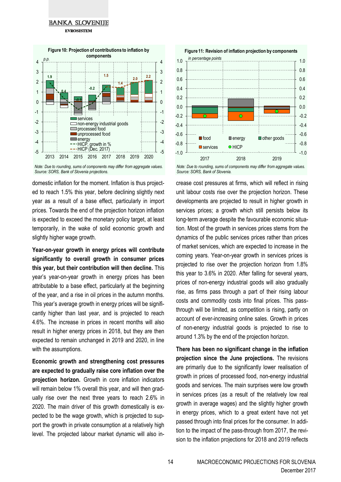#### **BANKA SLOVENIJE EVROSISTEM**



*Note: Due to rounding, sums of components may differ from aggregate values. Source: SORS, Bank of Slovenia projections.*

domestic inflation for the moment. Inflation is thus projected to reach 1.5% this year, before declining slightly next year as a result of a base effect, particularly in import prices. Towards the end of the projection horizon inflation is expected to exceed the monetary policy target, at least temporarily, in the wake of solid economic growth and slightly higher wage growth.

**Year-on-year growth in energy prices will contribute significantly to overall growth in consumer prices this year, but their contribution will then decline.** This year's year-on-year growth in energy prices has been attributable to a base effect, particularly at the beginning of the year, and a rise in oil prices in the autumn months. This year's average growth in energy prices will be significantly higher than last year, and is projected to reach 4.6%. The increase in prices in recent months will also result in higher energy prices in 2018, but they are then expected to remain unchanged in 2019 and 2020, in line with the assumptions.

**Economic growth and strengthening cost pressures are expected to gradually raise core inflation over the projection horizon.** Growth in core inflation indicators will remain below 1% overall this year, and will then gradually rise over the next three years to reach 2.6% in 2020. The main driver of this growth domestically is expected to be the wage growth, which is projected to support the growth in private consumption at a relatively high level. The projected labour market dynamic will also in-



*Note: Due to rounding, sums of components may differ from aggregate values. Source: SORS, Bank of Slovenia.*

crease cost pressures at firms, which will reflect in rising unit labour costs rise over the projection horizon. These developments are projected to result in higher growth in services prices; a growth which still persists below its long-term average despite the favourable economic situation. Most of the growth in services prices stems from the dynamics of the public services prices rather than prices of market services, which are expected to increase in the coming years. Year-on-year growth in services prices is projected to rise over the projection horizon from 1.8% this year to 3.6% in 2020. After falling for several years, prices of non-energy industrial goods will also gradually rise, as firms pass through a part of their rising labour costs and commodity costs into final prices. This passthrough will be limited, as competition is rising, partly on account of ever-increasing online sales. Growth in prices of non-energy industrial goods is projected to rise to around 1.3% by the end of the projection horizon.

**There has been no significant change in the inflation projection since the June projections.** The revisions are primarily due to the significantly lower realisation of growth in prices of processed food, non-energy industrial goods and services. The main surprises were low growth in services prices (as a result of the relatively low real growth in average wages) and the slightly higher growth in energy prices, which to a great extent have not yet passed through into final prices for the consumer. In addition to the impact of the pass-through from 2017, the revision to the inflation projections for 2018 and 2019 reflects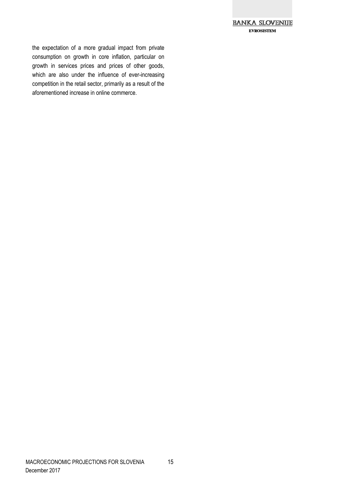

the expectation of a more gradual impact from private consumption on growth in core inflation, particular on growth in services prices and prices of other goods, which are also under the influence of ever-increasing competition in the retail sector, primarily as a result of the aforementioned increase in online commerce.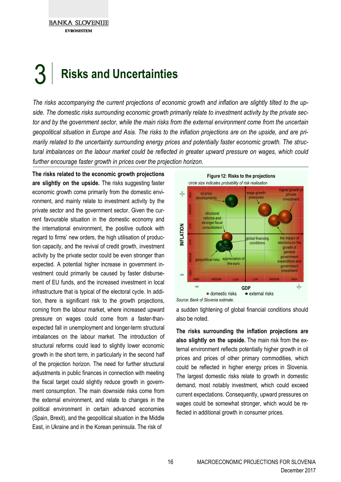**BANKA SLOVENIJE FVDOCICTEM** 

## 3 **Risks and Uncertainties**

*The risks accompanying the current projections of economic growth and inflation are slightly tilted to the upside. The domestic risks surrounding economic growth primarily relate to investment activity by the private sector and by the government sector, while the main risks from the external environment come from the uncertain geopolitical situation in Europe and Asia. The risks to the inflation projections are on the upside, and are primarily related to the uncertainty surrounding energy prices and potentially faster economic growth. The structural imbalances on the labour market could be reflected in greater upward pressure on wages, which could further encourage faster growth in prices over the projection horizon.*

**The risks related to the economic growth projections are slightly on the upside.** The risks suggesting faster economic growth come primarily from the domestic environment, and mainly relate to investment activity by the private sector and the government sector. Given the current favourable situation in the domestic economy and the international environment, the positive outlook with regard to firms' new orders, the high utilisation of production capacity, and the revival of credit growth, investment activity by the private sector could be even stronger than expected. A potential higher increase in government investment could primarily be caused by faster disbursement of EU funds, and the increased investment in local infrastructure that is typical of the electoral cycle. In addition, there is significant risk to the growth projections, coming from the labour market, where increased upward pressure on wages could come from a faster-thanexpected fall in unemployment and longer-term structural imbalances on the labour market. The introduction of structural reforms could lead to slightly lower economic growth in the short term, in particularly in the second half of the projection horizon. The need for further structural adjustments in public finances in connection with meeting the fiscal target could slightly reduce growth in government consumption. The main downside risks come from the external environment, and relate to changes in the political environment in certain advanced economies (Spain, Brexit), and the geopolitical situation in the Middle East, in Ukraine and in the Korean peninsula. The risk of



a sudden tightening of global financial conditions should also be noted.

**The risks surrounding the inflation projections are also slightly on the upside.** The main risk from the external environment reflects potentially higher growth in oil prices and prices of other primary commodities, which could be reflected in higher energy prices in Slovenia. The largest domestic risks relate to growth in domestic demand, most notably investment, which could exceed current expectations. Consequently, upward pressures on wages could be somewhat stronger, which would be reflected in additional growth in consumer prices.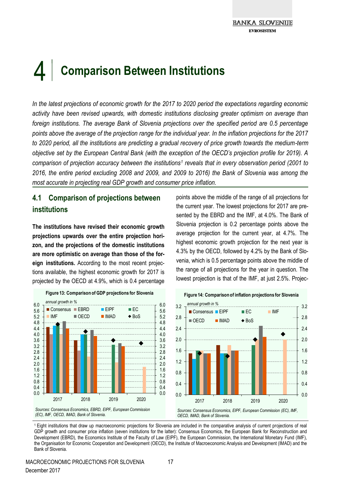## $\vert 4 \vert$ **Comparison Between Institutions**

*In the latest projections of economic growth for the 2017 to 2020 period the expectations regarding economic activity have been revised upwards, with domestic institutions disclosing greater optimism on average than foreign institutions. The average Bank of Slovenia projections over the specified period are 0.5 percentage points above the average of the projection range for the individual year. In the inflation projections for the 2017 to 2020 period, all the institutions are predicting a gradual recovery of price growth towards the medium-term objective set by the European Central Bank (with the exception of the OECD's projection profile for 2019). A comparison of projection accuracy between the institutions<sup>1</sup> reveals that in every observation period (2001 to 2016, the entire period excluding 2008 and 2009, and 2009 to 2016) the Bank of Slovenia was among the most accurate in projecting real GDP growth and consumer price inflation.*

### **4.1 Comparison of projections between institutions**

**The institutions have revised their economic growth projections upwards over the entire projection horizon, and the projections of the domestic institutions are more optimistic on average than those of the foreign institutions.** According to the most recent projections available, the highest economic growth for 2017 is projected by the OECD at 4.9%, which is 0.4 percentage



points above the middle of the range of all projections for the current year. The lowest projections for 2017 are presented by the EBRD and the IMF, at 4.0%. The Bank of Slovenia projection is 0.2 percentage points above the average projection for the current year, at 4.7%. The highest economic growth projection for the next year is 4.3% by the OECD, followed by 4.2% by the Bank of Slovenia, which is 0.5 percentage points above the middle of the range of all projections for the year in question. The lowest projection is that of the IMF, at just 2.5%. Projec-



<sup>1</sup>Eight institutions that draw up macroeconomic projections for Slovenia are included in the comparative analysis of current projections of real GDP growth and consumer price inflation (seven institutions for the latter): Consensus Economics, the European Bank for Reconstruction and Development (EBRD), the Economics Institute of the Faculty of Law (EIPF), the European Commission, the International Monetary Fund (IMF), the Organisation for Economic Cooperation and Development (OECD), the Institute of Macroeconomic Analysis and Development (IMAD) and the Bank of Slovenia.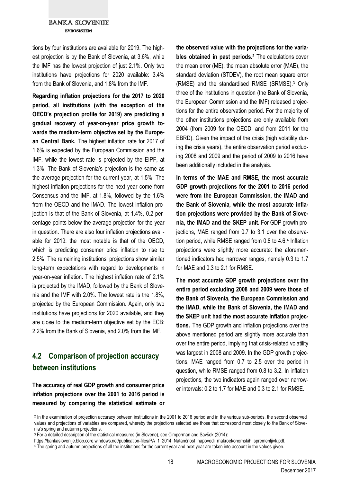#### **BANKA SLOVENIJE EVROSISTEM**

tions by four institutions are available for 2019. The highest projection is by the Bank of Slovenia, at 3.6%, while the IMF has the lowest projection of just 2.1%. Only two institutions have projections for 2020 available: 3.4% from the Bank of Slovenia, and 1.8% from the IMF.

**Regarding inflation projections for the 2017 to 2020 period, all institutions (with the exception of the OECD's projection profile for 2019) are predicting a gradual recovery of year-on-year price growth towards the medium-term objective set by the European Central Bank.** The highest inflation rate for 2017 of 1.6% is expected by the European Commission and the IMF, while the lowest rate is projected by the EIPF, at 1.3%. The Bank of Slovenia's projection is the same as the average projection for the current year, at 1.5%. The highest inflation projections for the next year come from Consensus and the IMF, at 1.8%, followed by the 1.6% from the OECD and the IMAD. The lowest inflation projection is that of the Bank of Slovenia, at 1.4%, 0.2 percentage points below the average projection for the year in question. There are also four inflation projections available for 2019: the most notable is that of the OECD, which is predicting consumer price inflation to rise to 2.5%. The remaining institutions' projections show similar long-term expectations with regard to developments in year-on-year inflation. The highest inflation rate of 2.1% is projected by the IMAD, followed by the Bank of Slovenia and the IMF with 2.0%. The lowest rate is the 1.8%, projected by the European Commission. Again, only two institutions have projections for 2020 available, and they are close to the medium-term objective set by the ECB: 2.2% from the Bank of Slovenia, and 2.0% from the IMF.

#### **4.2 Comparison of projection accuracy between institutions**

**The accuracy of real GDP growth and consumer price inflation projections over the 2001 to 2016 period is measured by comparing the statistical estimate or**  **the observed value with the projections for the variables obtained in past periods.<sup>2</sup>** The calculations cover the mean error (ME), the mean absolute error (MAE), the standard deviation (STDEV), the root mean square error (RMSE) and the standardised RMSE (SRMSE).<sup>3</sup> Only three of the institutions in question (the Bank of Slovenia, the European Commission and the IMF) released projections for the entire observation period. For the majority of the other institutions projections are only available from 2004 (from 2009 for the OECD, and from 2011 for the EBRD). Given the impact of the crisis (high volatility during the crisis years), the entire observation period excluding 2008 and 2009 and the period of 2009 to 2016 have been additionally included in the analysis.

**In terms of the MAE and RMSE, the most accurate GDP growth projections for the 2001 to 2016 period were from the European Commission, the IMAD and the Bank of Slovenia, while the most accurate inflation projections were provided by the Bank of Slovenia, the IMAD and the SKEP unit.** For GDP growth projections, MAE ranged from 0.7 to 3.1 over the observation period, while RMSE ranged from 0.8 to 4.6.<sup>4</sup> Inflation projections were slightly more accurate: the aforementioned indicators had narrower ranges, namely 0.3 to 1.7 for MAE and 0.3 to 2.1 for RMSE.

**The most accurate GDP growth projections over the entire period excluding 2008 and 2009 were those of the Bank of Slovenia, the European Commission and the IMAD, while the Bank of Slovenia, the IMAD and the SKEP unit had the most accurate inflation projections.** The GDP growth and inflation projections over the above mentioned period are slightly more accurate than over the entire period, implying that crisis-related volatility was largest in 2008 and 2009. In the GDP growth projections, MAE ranged from 0.7 to 2.5 over the period in question, while RMSE ranged from 0.8 to 3.2. In inflation projections, the two indicators again ranged over narrower intervals: 0.2 to 1.7 for MAE and 0.3 to 2.1 for RMSE.

<sup>2</sup> In the examination of projection accuracy between institutions in the 2001 to 2016 period and in the various sub-periods, the second observed values and projections of variables are compared, whereby the projections selected are those that correspond most closely to the Bank of Slovenia's spring and autumn projections.

<sup>3</sup> For a detailed description of the statistical measures (in Slovene), see Cimperman and Savšek (2014):

https://bankaslovenije.blob.core.windows.net/publication-files/PA\_1\_2014\_Natančnost\_napovedi\_makroekonomskih\_spremenljivk.pdf.

<sup>&</sup>lt;sup>4</sup> The spring and autumn projections of all the institutions for the current year and next year are taken into account in the values given.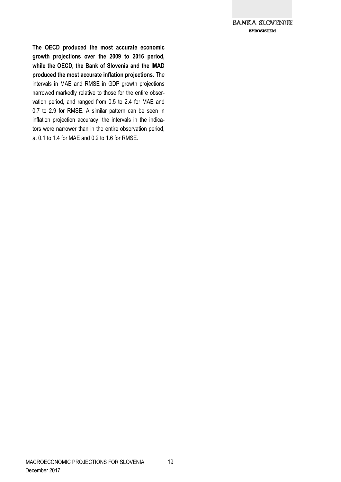

**The OECD produced the most accurate economic growth projections over the 2009 to 2016 period, while the OECD, the Bank of Slovenia and the IMAD produced the most accurate inflation projections.** The intervals in MAE and RMSE in GDP growth projections narrowed markedly relative to those for the entire observation period, and ranged from 0.5 to 2.4 for MAE and 0.7 to 2.9 for RMSE. A similar pattern can be seen in inflation projection accuracy: the intervals in the indicators were narrower than in the entire observation period, at 0.1 to 1.4 for MAE and 0.2 to 1.6 for RMSE.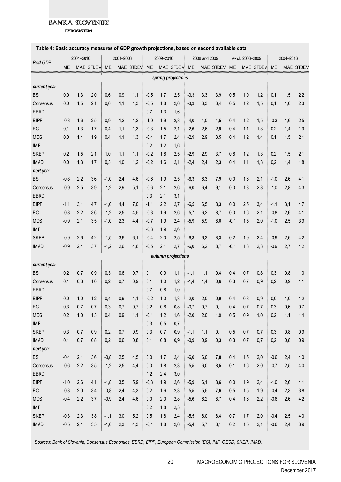**EVROSISTEM** 

#### **Table 4: Basic accuracy measures of GDP growth projections, based on second available data**

| Table 4: Basic accuracy measures of GDP growth projections, based on second available data |           |     |           |           |     |           |        |           |                    |        |               |              |        |                 |              |           |     |           |
|--------------------------------------------------------------------------------------------|-----------|-----|-----------|-----------|-----|-----------|--------|-----------|--------------------|--------|---------------|--------------|--------|-----------------|--------------|-----------|-----|-----------|
| Real GDP                                                                                   | 2001-2016 |     |           | 2001-2008 |     |           |        | 2009-2016 |                    |        | 2008 and 2009 |              |        | excl. 2008-2009 |              | 2004-2016 |     |           |
|                                                                                            | ME        |     | MAE STDEV | <b>ME</b> |     | MAE STDEV | ME     |           | MAE STDEV ME       |        |               | MAE STDEV ME |        |                 | MAE STDEV ME |           |     | MAE STDEV |
|                                                                                            |           |     |           |           |     |           |        |           | spring projections |        |               |              |        |                 |              |           |     |           |
| current year                                                                               |           |     |           |           |     |           |        |           |                    |        |               |              |        |                 |              |           |     |           |
| <b>BS</b>                                                                                  | 0,0       | 1,3 | 2,0       | 0,6       | 0,9 | 1,1       | $-0,5$ | 1,7       | 2,5                | $-3,3$ | 3,3           | 3,9          | 0,5    | 1,0             | 1,2          | 0,1       | 1,5 | 2,2       |
| Consensus                                                                                  | 0,0       | 1,5 | 2,1       | 0,6       | 1,1 | 1,3       | $-0,5$ | 1,8       | 2,6                | $-3,3$ | 3,3           | 3,4          | 0,5    | 1,2             | 1,5          | 0,1       | 1.6 | 2,3       |
| <b>EBRD</b>                                                                                |           |     |           |           |     |           | 0,7    | 1,3       | 1,6                |        |               |              |        |                 |              |           |     |           |
| <b>EIPF</b>                                                                                | $-0.3$    | 1,6 | 2,5       | 0,9       | 1,2 | 1,2       | $-1,0$ | 1,9       | 2,8                | $-4,0$ | 4,0           | 4,5          | 0,4    | 1,2             | 1,5          | $-0.3$    | 1,6 | 2,5       |
| EC                                                                                         | 0,1       | 1,3 | 1,7       | 0,4       | 1,1 | 1,3       | $-0,3$ | 1,5       | 2,1                | $-2,6$ | 2,6           | 2,9          | 0,4    | 1,1             | 1,3          | 0.2       | 1,4 | 1,9       |
| <b>MDS</b>                                                                                 | 0,0       | 1,4 | 1,9       | 0,4       | 1,1 | 1,3       | $-0.4$ | 1,7       | 2,4                | $-2,9$ | 2,9           | 3,5          | 0,4    | 1,2             | 1,4          | 0,1       | 1,5 | 2,1       |
| <b>IMF</b>                                                                                 |           |     |           |           |     |           | 0,2    | 1,2       | 1,6                |        |               |              |        |                 |              |           |     |           |
| <b>SKEP</b>                                                                                | 0,2       | 1,5 | 2,1       | 1,0       | 1,1 | 1,1       | $-0,2$ | 1,8       | 2,5                | $-2,9$ | 2,9           | 3,7          | 0,8    | 1,2             | 1,3          | 0.2       | 1,5 | 2,1       |
| <b>IMAD</b>                                                                                | 0,0       | 1,3 | 1,7       | 0,3       | 1,0 | 1,2       | $-0,2$ | 1,6       | 2,1                | $-2,4$ | 2,4           | 2,3          | 0,4    | 1,1             | 1,3          | 0,2       | 1,4 | 1,8       |
| next year                                                                                  |           |     |           |           |     |           |        |           |                    |        |               |              |        |                 |              |           |     |           |
| <b>BS</b>                                                                                  | $-0.8$    | 2,2 | 3,6       | $-1,0$    | 2,4 | 4,6       | $-0,6$ | 1,9       | 2,5                | $-6,3$ | 6,3           | 7,9          | 0,0    | 1,6             | 2,1          | $-1.0$    | 2,6 | 4,1       |
| Consensus                                                                                  | $-0.9$    | 2,5 | 3,9       | $-1,2$    | 2,9 | 5,1       | $-0,6$ | 2,1       | 2,6                | $-6.0$ | 6,4           | 9,1          | 0,0    | 1,8             | 2,3          | $-1,0$    | 2.8 | 4,3       |
| <b>EBRD</b>                                                                                |           |     |           |           |     |           | 0,3    | 2.1       | 3,1                |        |               |              |        |                 |              |           |     |           |
| <b>EIPF</b>                                                                                | $-1,1$    | 3,1 | 4,7       | $-1,0$    | 4,4 | 7,0       | $-1,1$ | 2,2       | 2,7                | $-6,5$ | 6,5           | 8,3          | 0,0    | 2,5             | 3,4          | $-1,1$    | 3,1 | 4,7       |
| EC                                                                                         | $-0,8$    | 2,2 | 3,6       | $-1,2$    | 2,5 | 4,5       | $-0,3$ | 1,9       | 2,6                | $-5,7$ | 6,2           | 8,7          | 0,0    | 1,6             | 2,1          | $-0,8$    | 2,6 | 4,1       |
| <b>MDS</b>                                                                                 | $-0,9$    | 2,1 | 3,5       | $-1,0$    | 2,3 | 4,4       | $-0,7$ | 1,9       | 2,4                | $-5,9$ | 5,9           | 8,0          | $-0,1$ | 1,5             | 2,0          | $-1,0$    | 2,5 | 3,9       |
| <b>IMF</b>                                                                                 |           |     |           |           |     |           | $-0,3$ | 1,9       | 2,6                |        |               |              |        |                 |              |           |     |           |
| <b>SKEP</b>                                                                                | $-0,9$    | 2.6 | 4,2       | $-1,5$    | 3,6 | 6,1       | $-0,4$ | 2,0       | 2,5                | $-6,3$ | 6,3           | 8,3          | 0,2    | 1,9             | 2,4          | $-0.9$    | 2,6 | 4,2       |
| <b>IMAD</b>                                                                                | $-0,9$    | 2,4 | 3,7       | $-1,2$    | 2,6 | 4,6       | $-0,5$ | 2,1       | 2,7                | $-6,0$ | 6,2           | 8,7          | $-0,1$ | 1,8             | 2,3          | $-0,9$    | 2,7 | 4,2       |
|                                                                                            |           |     |           |           |     |           |        |           | autumn projections |        |               |              |        |                 |              |           |     |           |
| current year                                                                               |           |     |           |           |     |           |        |           |                    |        |               |              |        |                 |              |           |     |           |
| <b>BS</b>                                                                                  | 0,2       | 0.7 | 0.9       | 0,3       | 0,6 | 0,7       | 0,1    | 0.9       | 1,1                | $-1,1$ | 1,1           | 0,4          | 0,4    | 0,7             | 0,8          | 0,3       | 0,8 | 1,0       |
| Consensus                                                                                  | 0,1       | 0,8 | 1,0       | 0,2       | 0,7 | 0,9       | 0,1    | 1,0       | 1,2                | $-1,4$ | 1,4           | 0,6          | 0,3    | 0,7             | 0,9          | 0.2       | 0,9 | 1,1       |
| <b>EBRD</b>                                                                                |           |     |           |           |     |           | 0,7    | 0,8       | 1,0                |        |               |              |        |                 |              |           |     |           |
| EIPF                                                                                       | 0,0       | 1,0 | 1,2       | 0,4       | 0,9 | 1,1       | $-0,2$ | $1,0$     | 1,3                | $-2,0$ | 2,0           | 0,9          | 0,4    | 0,8             | 0,9          | 0,0       | 1,0 | 1,2       |
| EC                                                                                         | 0,3       | 0,7 | 0,7       | 0,3       | 0,7 | 0,7       | 0,2    | 0,6       | 0,8                | $-0,7$ | 0,7           | 0,1          | 0,4    | 0,7             | 0,7          | 0,3       | 0,6 | 0,7       |
| <b>MDS</b>                                                                                 | 0,2       | 1,0 | 1,3       | 0,4       | 0,9 | 1,1       | $-0,1$ | 1,2       | 1,6                | $-2,0$ | 2,0           | 1,9          | 0,5    | 0,9             | 1,0          | 0,2       | 1,1 | 1,4       |
| <b>IMF</b>                                                                                 |           |     |           |           |     |           | 0,3    | 0,5       | 0,7                |        |               |              |        |                 |              |           |     |           |
| <b>SKEP</b>                                                                                | 0,3       | 0,7 | 0,9       | 0,2       | 0,7 | 0,9       | 0,3    | 0,7       | 0,9                | $-1,1$ | 1,1           | 0,1          | 0,5    | 0,7             | 0,7          | 0,3       | 0,8 | 0,9       |
| <b>IMAD</b>                                                                                | 0,1       | 0,7 | 0,8       | 0,2       | 0,6 | 0,8       | 0,1    | 0,8       | 0,9                | $-0,9$ | 0,9           | 0,3          | 0,3    | 0,7             | 0,7          | 0,2       | 0,8 | 0,9       |
| next year                                                                                  |           |     |           |           |     |           |        |           |                    |        |               |              |        |                 |              |           |     |           |
| <b>BS</b>                                                                                  | $-0,4$    | 2,1 | 3,6       | $-0,8$    | 2,5 | 4,5       | 0,0    | 1,7       | 2,4                | $-6,0$ | 6,0           | 7,8          | 0,4    | 1,5             | 2,0          | $-0,6$    | 2,4 | 4,0       |
| <b>C</b> onsensus                                                                          | $-0,6$    | 2,2 | 3,5       | $-1,2$    | 2,5 | 4,4       | 0,0    | 1,8       | 2,3                | $-5,5$ | 6,0           | 8,5          | 0,1    | 1,6             | 2,0          | $-0,7$    | 2,5 | 4,0       |
| EBRD                                                                                       |           |     |           |           |     |           | 1,2    | 2,4       | 3,0                |        |               |              |        |                 |              |           |     |           |
| <b>EIPF</b>                                                                                | $-1,0$    | 2,6 | 4,1       | $-1,8$    | 3,5 | 5,9       | $-0,3$ | 1,9       | 2,6                | $-5,9$ | 6,1           | 8,6          | 0,0    | 1,9             | 2,4          | $-1,0$    | 2,6 | 4,1       |
| EC                                                                                         | $-0,3$    | 2,0 | 3,4       | $-0,8$    | 2,4 | 4,3       | 0,2    | 1,6       | 2,3                | $-5,5$ | 5,5           | 7,6          | 0,5    | 1,5             | 1,9          | $-0,4$    | 2,3 | 3,8       |
| <b>MDS</b>                                                                                 | $-0,4$    | 2,2 | 3,7       | $-0,9$    | 2,4 | 4,6       | 0,0    | 2,0       | 2,8                | $-5,6$ | 6,2           | 8,7          | 0,4    | 1,6             | 2,2          | $-0,6$    | 2,6 | 4,2       |
| <b>IMF</b>                                                                                 |           |     |           |           |     |           | 0,2    | 1,8       | 2,3                |        |               |              |        |                 |              |           |     |           |
| <b>SKEP</b>                                                                                | $-0,3$    | 2,3 | 3,8       | $-1,1$    | 3,0 | 5,2       | 0,5    | 1,8       | 2,4                | $-5,5$ | 6,0           | 8,4          | 0,7    | 1,7             | 2,0          | $-0,4$    | 2,5 | 4,0       |
| <b>IMAD</b>                                                                                | $-0,5$    | 2,1 | 3,5       | $-1,0$    | 2,3 | 4,3       | $-0,1$ | 1,8       | 2,6                | $-5,4$ | 5,7           | 8,1          | 0,2    | 1,5             | 2,1          | $-0,6$    | 2,4 | 3,9       |

*Sources: Bank of Slovenia, Consensus Economics, EBRD, EIPF, European Commission (EC), IMF, OECD, SKEP, IMAD.*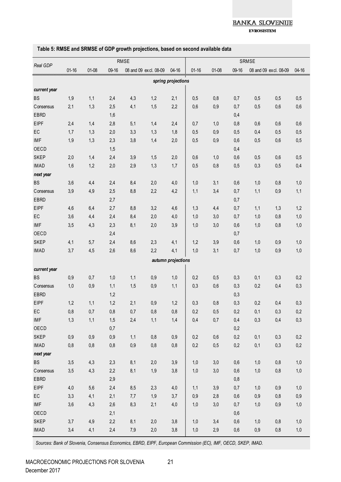**EVROSISTEM** 

|              | <b>RMSE</b> |       |       |     |                       |                    |           |         | <b>SRMSE</b> |       |                       |           |  |  |  |  |
|--------------|-------------|-------|-------|-----|-----------------------|--------------------|-----------|---------|--------------|-------|-----------------------|-----------|--|--|--|--|
| Real GDP     | $01 - 16$   | 01-08 | 09-16 |     | 08 and 09 excl. 08-09 | $04 - 16$          | $01 - 16$ | $01-08$ | 09-16        |       | 08 and 09 excl. 08-09 | $04 - 16$ |  |  |  |  |
|              |             |       |       |     |                       | spring projections |           |         |              |       |                       |           |  |  |  |  |
| current year |             |       |       |     |                       |                    |           |         |              |       |                       |           |  |  |  |  |
| <b>BS</b>    | 1,9         | 1,1   | 2,4   | 4,3 | 1,2                   | 2,1                | 0,5       | 0,8     | 0,7          | 0,5   | 0,5                   | 0,5       |  |  |  |  |
| Consensus    | 2,1         | 1,3   | 2,5   | 4,1 | 1,5                   | 2,2                | 0,6       | 0,9     | 0,7          | 0,5   | 0,6                   | 0,6       |  |  |  |  |
| EBRD         |             |       | 1,6   |     |                       |                    |           |         | 0,4          |       |                       |           |  |  |  |  |
| <b>EIPF</b>  | 2,4         | 1,4   | 2,8   | 5,1 | 1,4                   | 2,4                | 0,7       | 1,0     | 0,8          | 0,6   | 0,6                   | 0,6       |  |  |  |  |
| EC           | 1,7         | 1,3   | 2,0   | 3,3 | 1,3                   | 1,8                | 0,5       | 0,9     | 0,5          | 0,4   | 0,5                   | 0,5       |  |  |  |  |
| <b>IMF</b>   | 1,9         | 1,3   | 2,3   | 3,8 | 1,4                   | 2,0                | 0,5       | 0,9     | 0,6          | 0,5   | 0,6                   | 0,5       |  |  |  |  |
| OECD         |             |       | 1,5   |     |                       |                    |           |         | 0,4          |       |                       |           |  |  |  |  |
| <b>SKEP</b>  | 2,0         | 1,4   | 2,4   | 3,9 | 1,5                   | 2,0                | 0,6       | 1,0     | 0,6          | 0,5   | 0,6                   | 0,5       |  |  |  |  |
| <b>IMAD</b>  | 1,6         | 1,2   | 2,0   | 2,9 | 1,3                   | 1,7                | 0,5       | 0,8     | 0,5          | 0,3   | 0,5                   | 0,4       |  |  |  |  |
| next year    |             |       |       |     |                       |                    |           |         |              |       |                       |           |  |  |  |  |
| <b>BS</b>    | 3,6         | 4,4   | 2,4   | 8,4 | 2,0                   | 4,0                | 1,0       | 3,1     | 0,6          | 1,0   | 0,8                   | 1,0       |  |  |  |  |
| Consensus    | 3,9         | 4,9   | 2,5   | 8,8 | 2,2                   | 4,2                | 1,1       | 3,4     | 0,7          | 1,1   | 0,9                   | 1,1       |  |  |  |  |
| <b>EBRD</b>  |             |       | 2,7   |     |                       |                    |           |         | 0,7          |       |                       |           |  |  |  |  |
| <b>EIPF</b>  | 4,6         | 6,4   | 2,7   | 8,8 | 3,2                   | 4,6                | 1,3       | 4,4     | 0,7          | 1,1   | 1,3                   | 1,2       |  |  |  |  |
| EC           | 3,6         | 4,4   | 2,4   | 8,4 | 2,0                   | 4,0                | 1,0       | 3,0     | 0,7          | 1,0   | 0,8                   | 1,0       |  |  |  |  |
| <b>IMF</b>   | 3,5         | 4,3   | 2,3   | 8,1 | 2,0                   | 3,9                | 1,0       | 3,0     | 0,6          | 1,0   | 0,8                   | 1,0       |  |  |  |  |
| OECD         |             |       | 2,4   |     |                       |                    |           |         | 0,7          |       |                       |           |  |  |  |  |
| <b>SKEP</b>  | 4,1         | 5,7   | 2,4   | 8,6 | 2,3                   | 4,1                | 1,2       | 3,9     | 0,6          | 1,0   | 0,9                   | 1,0       |  |  |  |  |
| <b>IMAD</b>  | 3,7         | 4,5   | 2,6   | 8,6 | 2,2                   | 4,1                | 1,0       | 3,1     | 0,7          | 1,0   | 0,9                   | 1,0       |  |  |  |  |
|              |             |       |       |     |                       | autumn projections |           |         |              |       |                       |           |  |  |  |  |
| current year |             |       |       |     |                       |                    |           |         |              |       |                       |           |  |  |  |  |
| <b>BS</b>    | 0,9         | 0,7   | 1,0   | 1,1 | 0,9                   | 1,0                | 0,2       | 0,5     | 0,3          | 0,1   | 0,3                   | 0,2       |  |  |  |  |
| Consensus    | 1,0         | 0,9   | 1,1   | 1,5 | 0,9                   | 1,1                | 0,3       | 0,6     | 0,3          | 0,2   | 0,4                   | 0,3       |  |  |  |  |
| <b>EBRD</b>  |             |       | 1,2   |     |                       |                    |           |         | 0,3          |       |                       |           |  |  |  |  |
| <b>EIPF</b>  | 1,2         | 1,1   | 1,2   | 2,1 | 0,9                   | 1,2                | 0,3       | 0,8     | 0,3          | 0,2   | 0,4                   | 0,3       |  |  |  |  |
| EC           | 0,8         | 0,7   | 0,8   | 0,7 | 0,8                   | 0,8                | 0,2       | 0,5     | 0,2          | 0,1   | 0,3                   | 0,2       |  |  |  |  |
| <b>IMF</b>   | 1,3         | 1,1   | 1,5   | 2,4 | 1,1                   | 1,4                | 0,4       | $0,7$   | $0,4$        | 0,3   | 0,4                   | $0,3$     |  |  |  |  |
| OECD         |             |       | 0,7   |     |                       |                    |           |         | 0,2          |       |                       |           |  |  |  |  |
| <b>SKEP</b>  | 0,9         | 0,9   | 0,9   | 1,1 | $0,\!8$               | $0,9$              | 0,2       | 0,6     | $0,\!2$      | 0,1   | 0,3                   | 0,2       |  |  |  |  |
| <b>IMAD</b>  | 0,8         | $0,8$ | $0,8$ | 0,9 | $0,8$                 | $0,8$              | 0,2       | 0,5     | $0,2$        | 0,1   | 0,3                   | $0,2$     |  |  |  |  |
| next year    |             |       |       |     |                       |                    |           |         |              |       |                       |           |  |  |  |  |
| <b>BS</b>    | 3,5         | 4,3   | 2,3   | 8,1 | 2,0                   | 3,9                | 1,0       | 3,0     | $0,6$        | 1,0   | $0,8$                 | 1,0       |  |  |  |  |
| Consensus    | 3,5         | 4,3   | 2,2   | 8,1 | 1,9                   | 3,8                | $1,0$     | 3,0     | $0,\!6$      | 1,0   | $0,8$                 | $1,0$     |  |  |  |  |
| EBRD         |             |       | 2,9   |     |                       |                    |           |         | $0,8$        |       |                       |           |  |  |  |  |
| EIPF         | 4,0         | 5,6   | 2,4   | 8,5 | 2,3                   | 4,0                | 1,1       | 3,9     | 0,7          | 1,0   | $0,9$                 | 1,0       |  |  |  |  |
| EC           | 3,3         | 4,1   | 2,1   | 7,7 | 1,9                   | 3,7                | 0,9       | 2,8     | $0,\!6$      | $0,9$ | $0,\!8$               | $0,9$     |  |  |  |  |
| <b>IMF</b>   | 3,6         | 4,3   | 2,6   | 8,3 | 2,1                   | $4,0$              | 1,0       | 3,0     | 0,7          | 1,0   | $0,9$                 | $1,0$     |  |  |  |  |
| OECD         |             |       | 2,1   |     |                       |                    |           |         | $0,\!6$      |       |                       |           |  |  |  |  |
| <b>SKEP</b>  | 3,7         | 4,9   | 2,2   | 8,1 | 2,0                   | $3,8$              | 1,0       | 3,4     | 0,6          | 1,0   | $0,8$                 | 1,0       |  |  |  |  |
| <b>IMAD</b>  | 3,4         | 4,1   | 2,4   | 7,9 | 2,0                   | $3,8$              | $1,0$     | 2,9     | $0,6$        | $0,9$ | $0,\!8$               | $1,0$     |  |  |  |  |

#### **Table 5: RMSE and SRMSE of GDP growth projections, based on second available data**

*Sources: Bank of Slovenia, Consensus Economics, EBRD, EIPF, European Commission (EC), IMF, OECD, SKEP, IMAD.*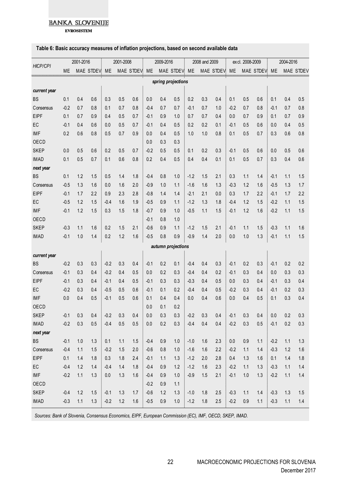**EVROSISTEM** 

#### Table 6: Basic accuracy measures of inflation projections, based on second available data<br>
ME MAE STDEV ME MAE STDEV ME MAE STDEV ME MAE STDEV ME MAE STDEV ME MAE STDEV ME MAE STDEV *current year* spring projections<br>
B S 0.1 0.4 0.6 0.3 0.5 0.6 0.0 0.4 0.5 0.2 0.3 0.4 0.1 0.5 0.6 0.1 0.4 0.5<br>
Conserve 0.0 0.7 0.9 0.4 0.7 0.8 0.4 0.7 0.7 0.4 0.7 1.0 0.0 0.7 0.8 0.4 0.7 0.8 Consensus -0.2 0.7 0.8 0.1 0.7 0.8 -0.4 0.7 0.7 -0.1 0.7 1.0 -0.2 0.7 0.8 -0.1 0.7 0.8 EIPF 0.1 0.7 0.9 0.4 0.5 0.7 -0.1 0.9 1.0 0.7 0.7 0.4 0.0 0.7 0.9 0.1 0.7 0.9 E C -0.1 0.4 0.6 0.0 0.5 0.7 0.4 0.5 0.2 0.3 0.4 0.1 0.5 0.6 0.1 0.4 0.5 0.5 0.6 0.1 0.4 0.5 0.6 0.1 0.4 0.5 0.6 0.1 0.4 0.5 0.7 0.4 0.5 0.7 0.4 0.5 0.7 0.4 0.5 0.7 0.4 0.5 0.7 0.8 0.1 0.7 0.8 0.1 0.7 0.8 0.1 0.7 0.8 0.1 0 IMF 0.2 0.6 0.8 0.5 0.7 0.9 0.0 0.4 0.5 1.0 1.0 0.8 0.1 0.5 0.7 0.3 0.6 0.8 OECD 0.0 0.3 0.3 SKEP 0.0 0.5 0.6 0.2 0.5 0.7 -0.2 0.5 0.5 0.1 0.2 0.3 -0.1 0.5 0.6 0.0 0.5 0.6 IMAD 0.1 0.5 0.7 0.1 0.6 0.8 0.2 0.4 0.5 0.4 0.4 0.1 0.1 0.5 0.7 0.3 0.4 0.6 *next year* 8 1 1.2 1.5 0.5 1.4 1.8 -0.4 0.6 1.1 1.2 1.5 0.6 1.1 1.1 1.5 0.6 0.6 1.1 1.1 1.5 0.7 0.1 1.2 1.5 0.6 1.1 1.2 1.5 0.6 1.1 1.1 1.5 0.7 0.3 0.4 1.1 1.1 1.5 0.7 0.3 0.4 1.1 1.1 1.5 0.7 0.3 0.4 1.1 1.1 1.1 1.5 0.7 0.3 0.4 1.1 1 Consensus -0.5 1.3 1.6 | 0.0 1.6 2.0 | -0.9 1.0 1.1 | -1.6 1.6 1.3 | -0.3 1.2 1.6 | -0.5 1.3 1.7 EIPF -0.1 1.7 2.2 | 0.9 2.3 2.8 | -0.8 1.4 1.4 | -2.1 2.1 0.0 | 0.3 1.7 2.2 | -0.1 1.7 2.2 E C -0.5 1.2 1.5 -0.4 1.6 1.9 -0.5 0.9 2.3 2.8 -0.8 1.4 1.4 -2.1 2.1 0.0 0.3 1.7 2.2 -0.1 1.7 2.2 -0.5 1.2 1.5 -0.4 1.6 1.9 -0.5 0.9 1.1 -1.4 -2.1 2.1 0.0 0.3 1.7 2.2 -0.1 1.7 2.2 -0.5 1.2 1.5 -0.4 1.6 1.9 -0.5 0.9 1.1 -1. IMF -0.1 1.2 1.5 |0.3 1.5 1.8 |-0.7 0.9 1.0 |-0.5 1.1 1.5 |-0.1 1.2 1.6 |-0.2 1.1 1.5 OECD -0.1 0.8 1.0 SKEP -0.3 1.1 1.6 | 0.2 1.5 2.1 | -0.6 0.9 1.1 | -1.2 1.5 2.1 | -0.1 1.1 1.5 | -0.3 1.1 1.6 IMAD -0.1 1.0 1.4 0.2 1.2 1.6 -0.5 0.8 0.9 -0.9 1.4 2.0 0.0 1.0 1.3 -0.1 1.1 1.5 *current year* autumn projections<br>
externe types<br>
BS -0.2 0.3 0.3 -0.2 0.3 0.4 -0.1 0.2 0.1 -0.4 0.4 0.3 -0.1 0.2 0.3 -0.1 0.2 0.3<br>
Conserve 0.4 0.3 0.4 0.2 0.4 0.5 0.0 0.3 0.4 0.4 0.4 0.4 0.3 -0.1 0.2 0.3 -0.1 0.2 0.3 Consensus -0.1 0.3 0.4 -0.2 0.4 0.5 0.0 0.2 0.3 -0.4 0.4 0.2 -0.1 0.3 0.4 0.0 0.3 0.3 EIPF -0.1 0.3 0.4 -0.1 0.4 0.5 -0.1 0.3 0.3 -0.3 0.4 0.5 0.0 0.3 0.4 -0.1 0.3 0.4 EIPF -0.1 0.3 0.4 -0.5 0.6 -0.1 0.1 0.2 -0.4 0.4 0.5 -0.1 0.2 0.3 -0.1 0.2 0.2 0.2 -0.1 0.2 0.2 -0.1 0.2 0.3 0.4 0.6 -0.1 0.3 0.4 0.5 -0.1 0.3 0.4 0.5 -0.1 0.3 0.4 0.5 -0.1 0.2 0.3 0.4 0.6 0.1 0.2 0.3 0.4 0.6 0.1 0.2 0.3 0 IMF 0.0 0.4 0.5 -0.1 0.5 0.6 0.1 0.4 0.4 0.0 0.4 0.6 0.0 0.4 0.5 0.1 0.3 0.4 OECD 0.0 0.1 0.2 SKEP -0.1 0.3 0.4 |-0.2 0.3 0.4 | 0.0 0.3 0.3 |-0.2 0.3 0.4 |-0.1 0.3 0.4 | 0.0 0.2 0.3 IMAD -0.2 0.3 0.5 -0.4 0.5 0.5 0.0 0.2 0.3 -0.4 0.4 0.4 -0.2 0.3 0.5 -0.1 0.2 0.3 *next year* 8 1 -0.2 0.3 0.4 -0.2 0.3 0.4 0.0 0.3 0.3 -0.2 0.3 0.4 -0.1 0.3 0.4 0.0 0.2 0.3<br>
1MAD -0.2 0.3 0.5 -0.4 0.5 0.5 0.0 0.2 0.3 -0.4 0.4 0.4 -0.2 0.3 0.5 -0.1 0.2 0.3<br>
B -0.1 1.0 1.3 0.1 1.1 1.5 -0.4 0.9 1.0 -1.0 1.6 2.3 0.0 0 Consensus -0.4 1.1 1.5 | -0.2 1.5 2.0 | -0.6 0.8 1.0 | -1.6 1.6 2.2 | -0.2 1.1 1.4 | -0.3 1.2 1.6 EIPF 0.1 1.4 1.8 0.3 1.8 2.4 -0.1 1.1 1.3 -1.2 2.0 2.8 0.4 1.3 1.6 0.1 1.4 1.8 E C -0.4 1.2 1.4 -0.4 1.4 1.8 -0.4 1.4 1.8 -0.4 0.9 1.0 -1.1 1.4 -0.3 1.1 1.4 1.8 -0.4 1.2 1.4 -0.4 1.4 -0.4 1.2 1.4 -0.4 1.4 -0.4 1.4 -0.4 1.4 -0.4 1.4 -0.4 1.4 -0.4 1.4 -0.4 1.4 -0.4 1.4 -0.4 1.4 -0.4 1.4 -0.4 1.4 -0.4 1 IMF -0.2 1.1 1.3 0.0 1.3 1.6 -0.4 0.9 1.0 -0.9 1.5 2.1 -0.1 1.0 1.3 -0.2 1.1 1.4 OECD -0.2 0.9 1.1 SKEP -0.4 1.2 1.5 |-0.1 1.3 1.7 |-0.6 1.2 1.3 |-1.0 1.8 2.5 |-0.3 1.1 1.4 |-0.3 1.3 1.5 IMAD -0.3 1.1 1.3 -0.2 1.2 1.6 -0.5 0.9 1.0 -1.2 1.8 2.5 -0.2 0.9 1.1 -0.3 1.1 1.4 *autumn projections HICP/CPI* 2001-2016 2001-2008 2009-2016 2008 and 2009 excl. 2008-2009 2004-2016 *spring projections*

*Sources: Bank of Slovenia, Consensus Economics, EIPF, European Commission (EC), IMF, OECD, SKEP, IMAD.*